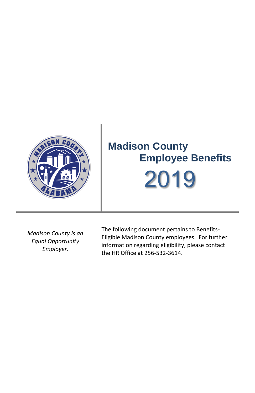

*Madison County is an Equal Opportunity Employer.*

The following document pertains to Benefits-Eligible Madison County employees. For further information regarding eligibility, please contact the HR Office at 256-532-3614.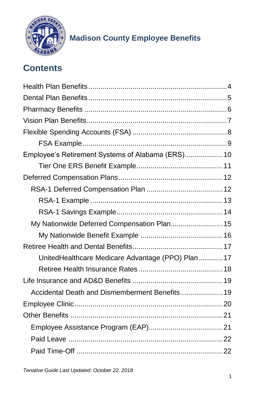

## **Contents**

| Employee's Retirement Systems of Alabama (ERS) 10 |  |
|---------------------------------------------------|--|
|                                                   |  |
|                                                   |  |
|                                                   |  |
|                                                   |  |
|                                                   |  |
| My Nationwide Deferred Compensation Plan 15       |  |
|                                                   |  |
|                                                   |  |
| UnitedHealthcare Medicare Advantage (PPO) Plan17  |  |
|                                                   |  |
|                                                   |  |
| Accidental Death and Dismemberment Benefits 19    |  |
|                                                   |  |
|                                                   |  |
|                                                   |  |
|                                                   |  |
|                                                   |  |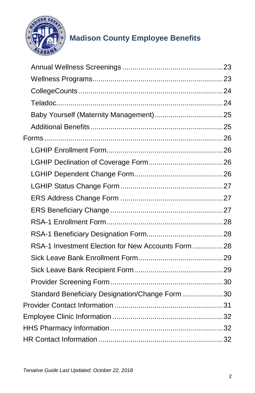

| RSA-1 Investment Election for New Accounts Form 28 |  |
|----------------------------------------------------|--|
|                                                    |  |
|                                                    |  |
|                                                    |  |
| Standard Beneficiary Designation/Change Form 30    |  |
|                                                    |  |
|                                                    |  |
|                                                    |  |
|                                                    |  |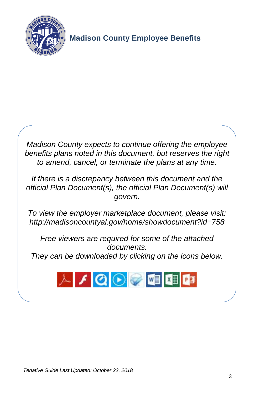



*To view the employer marketplace document, please visit: <http://madisoncountyal.gov/home/showdocument?id=758>*

*Free viewers are required for some of the attached documents. They can be downloaded by clicking on the icons below.*

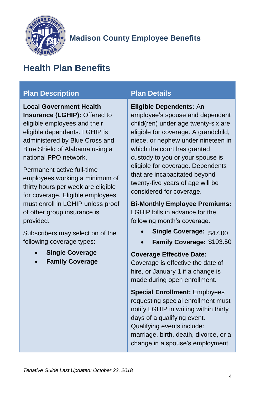

## <span id="page-4-0"></span>**Health Plan Benefits**

### **Plan Description Plan Details**

**Local Government Health Insurance (LGHIP):** Offered to eligible employees and their eligible dependents. LGHIP is administered by Blue Cross and Blue Shield of Alabama using a national PPO network.

Permanent active full-time employees working a minimum of thirty hours per week are eligible for coverage. Eligible employees must enroll in LGHIP unless proof of other group insurance is provided.

Subscribers may select on of the following coverage types:

- **Single Coverage**
- **Family Coverage**

**Eligible Dependents:** An

employee's spouse and dependent child(ren) under age twenty-six are eligible for coverage. A grandchild, niece, or nephew under nineteen in which the court has granted custody to you or your spouse is eligible for coverage. Dependents that are incapacitated beyond twenty-five years of age will be considered for coverage.

**Bi-Monthly Employee Premiums:**

LGHIP bills in advance for the following month's coverage.

- **Single Coverage:** \$47.00
- **Family Coverage:** \$103.50

**Coverage Effective Date:**

Coverage is effective the date of hire, or January 1 if a change is made during open enrollment.

**Special Enrollment:** Employees requesting special enrollment must notify LGHIP in writing within thirty days of a qualifying event. Qualifying events include: marriage, birth, death, divorce, or a change in a spouse's employment.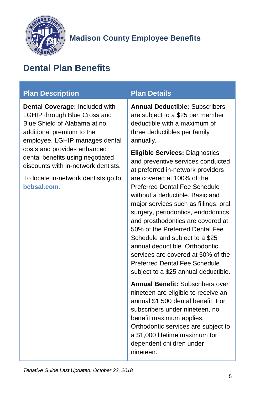

## <span id="page-5-0"></span>**Dental Plan Benefits**

### **Plan Description Plan Details**

**Dental Coverage:** Included with LGHIP through Blue Cross and Blue Shield of Alabama at no additional premium to the employee. LGHIP manages dental costs and provides enhanced dental benefits using negotiated discounts with in-network dentists.

To locate in-network dentists go to: **[bcbsal.com.](https://www.bcbsal.com/)**

**Annual Deductible:** Subscribers are subject to a \$25 per member deductible with a maximum of three deductibles per family annually.

**Eligible Services:** Diagnostics and preventive services conducted at preferred in-network providers are covered at 100% of the Preferred Dental Fee Schedule without a deductible. Basic and major services such as fillings, oral surgery, periodontics, endodontics, and prosthodontics are covered at 50% of the Preferred Dental Fee Schedule and subject to a \$25 annual deductible. Orthodontic services are covered at 50% of the Preferred Dental Fee Schedule subject to a \$25 annual deductible.

**Annual Benefit:** Subscribers over nineteen are eligible to receive an annual \$1,500 dental benefit. For subscribers under nineteen, no benefit maximum applies. Orthodontic services are subject to a \$1,000 lifetime maximum for dependent children under nineteen.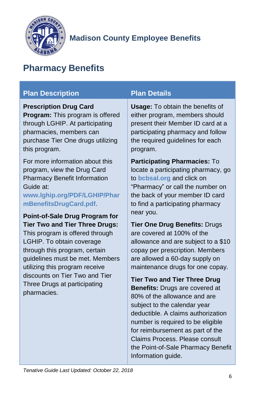

## <span id="page-6-0"></span>**Pharmacy Benefits**

#### **Plan Description Plan Details Prescription Drug Card Program:** This program is offered through LGHIP. At participating pharmacies, members can purchase Tier One drugs utilizing this program. For more information about this program, view the Drug Card Pharmacy Benefit Information Guide at: **[www.lghip.org/PDF/LGHIP/Phar](https://www.lghip.org/PDF/LGHIP/PharmBenefitsDrugCard.pdf) [mBenefitsDrugCard.pdf.](https://www.lghip.org/PDF/LGHIP/PharmBenefitsDrugCard.pdf) Point-of-Sale Drug Program for Tier Two and Tier Three Drugs:** This program is offered through LGHIP. To obtain coverage through this program, certain guidelines must be met. Members utilizing this program receive discounts on Tier Two and Tier Three Drugs at participating pharmacies. **Usage:** To obtain the benefits of either program, members should present their Member ID card at a participating pharmacy and follow the required guidelines for each program. **Participating Pharmacies:** To locate a participating pharmacy, go to **[bcbsal.org](https://www.bcbsal.org/)** and click on "Pharmacy" or call the number on the back of your member ID card to find a participating pharmacy near you. **Tier One Drug Benefits:** Drugs are covered at 100% of the allowance and are subject to a \$10 copay per prescription. Members are allowed a 60-day supply on maintenance drugs for one copay. **Tier Two and Tier Three Drug Benefits:** Drugs are covered at

80% of the allowance and are subject to the calendar year deductible. A claims authorization number is required to be eligible for reimbursement as part of the Claims Process. Please consult the Point-of-Sale Pharmacy Benefit Information guide.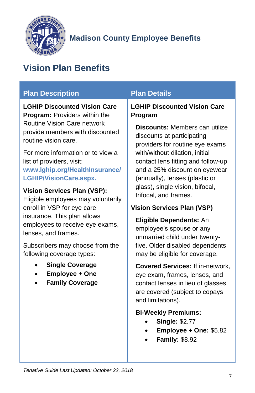

## <span id="page-7-0"></span>**Vision Plan Benefits**

### **Plan Description Plan Details**

**LGHIP Discounted Vision Care Program:** Providers within the Routine Vision Care network provide members with discounted routine vision care.

For more information or to view a list of providers, visit: **[www.lghip.org/HealthInsurance/](https://www.lghip.org/HealthInsurance/LGHIP/VisionCare.aspx) [LGHIP/VisionCare.aspx.](https://www.lghip.org/HealthInsurance/LGHIP/VisionCare.aspx)**

#### **Vision Services Plan (VSP):**

Eligible employees may voluntarily enroll in VSP for eye care insurance. This plan allows employees to receive eye exams, lenses, and frames.

Subscribers may choose from the following coverage types:

- **Single Coverage**
- **Employee + One**
- **Family Coverage**

**LGHIP Discounted Vision Care Program**

**Discounts:** Members can utilize discounts at participating providers for routine eye exams with/without dilation, initial contact lens fitting and follow-up and a 25% discount on eyewear (annually), lenses (plastic or glass), single vision, bifocal, trifocal, and frames.

#### **Vision Services Plan (VSP)**

**Eligible Dependents:** An employee's spouse or any unmarried child under twentyfive. Older disabled dependents may be eligible for coverage.

**Covered Services:** If in-network, eye exam, frames, lenses, and contact lenses in lieu of glasses are covered (subject to copays and limitations).

#### **Bi-Weekly Premiums:**

- **Single:** \$2.77
- **Employee + One:** \$5.82
- **Family:** \$8.92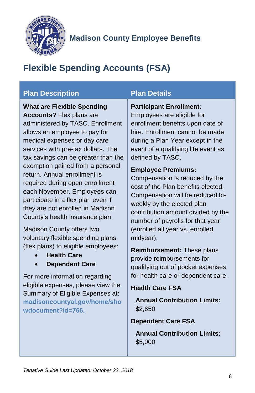

## <span id="page-8-0"></span>**Flexible Spending Accounts (FSA)**

### **Plan Description Plan Details**

**What are Flexible Spending Accounts?** Flex plans are administered by TASC. Enrollment allows an employee to pay for medical expenses or day care services with pre-tax dollars. The tax savings can be greater than the exemption gained from a personal return. Annual enrollment is required during open enrollment each November. Employees can participate in a flex plan even if they are not enrolled in Madison County's health insurance plan.

Madison County offers two voluntary flexible spending plans (flex plans) to eligible employees:

- **Health Care**
- **Dependent Care**

For more information regarding eligible expenses, please view the Summary of Eligible Expenses at: **[madisoncountyal.gov/home/sho](http://madisoncountyal.gov/home/showdocument?id=766) [wdocument?id=766.](http://madisoncountyal.gov/home/showdocument?id=766)**

#### **Participant Enrollment:**

Employees are eligible for enrollment benefits upon date of hire. Enrollment cannot be made during a Plan Year except in the event of a qualifying life event as defined by TASC.

#### **Employee Premiums:**

Compensation is reduced by the cost of the Plan benefits elected. Compensation will be reduced biweekly by the elected plan contribution amount divided by the number of payrolls for that year (enrolled all year vs. enrolled midyear).

**Reimbursement:** These plans provide reimbursements for qualifying out of pocket expenses for health care or dependent care.

#### **Health Care FSA**

**Annual Contribution Limits:** \$2,650

**Dependent Care FSA**

**Annual Contribution Limits:** \$5,000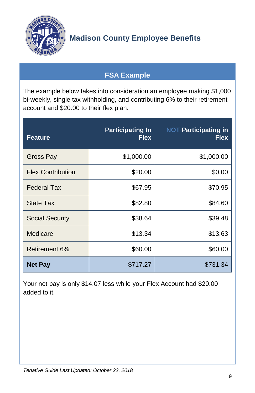

## **FSA Example**

<span id="page-9-0"></span>The example below takes into consideration an employee making \$1,000 bi-weekly, single tax withholding, and contributing 6% to their retirement account and \$20.00 to their flex plan.

| <b>Feature</b>           | <b>Participating In</b><br><b>Flex</b> | <b>NOT Participating in</b><br><b>Flex</b> |
|--------------------------|----------------------------------------|--------------------------------------------|
| Gross Pay                | \$1,000.00                             | \$1,000.00                                 |
| <b>Flex Contribution</b> | \$20.00                                | \$0.00                                     |
| <b>Federal Tax</b>       | \$67.95                                | \$70.95                                    |
| <b>State Tax</b>         | \$82.80                                | \$84.60                                    |
| <b>Social Security</b>   | \$38.64                                | \$39.48                                    |
| Medicare                 | \$13.34                                | \$13.63                                    |
| Retirement 6%            | \$60.00                                | \$60.00                                    |
| <b>Net Pay</b>           | \$717.27                               | \$731.34                                   |

Your net pay is only \$14.07 less while your Flex Account had \$20.00 added to it.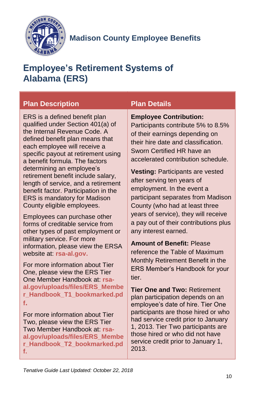

## <span id="page-10-0"></span>**Employee's Retirement Systems of Alabama (ERS)**

### **Plan Description Plan Details**

ERS is a defined benefit plan qualified under Section 401(a) of the Internal Revenue Code. A defined benefit plan means that each employee will receive a specific payout at retirement using a benefit formula. The factors determining an employee's retirement benefit include salary, length of service, and a retirement benefit factor. Participation in the ERS is mandatory for Madison County eligible employees.

Employees can purchase other forms of creditable service from other types of past employment or military service. For more information, please view the ERSA website at: **[rsa-al.gov.](http://www.rsa-al.gov/)**

For more information about Tier One, please view the ERS Tier One Member Handbook at: **[rsa](http://www.rsa-al.gov/uploads/files/ERS_Member_Handbook_T1_bookmarked.pdf)[al.gov/uploads/files/ERS\\_Membe](http://www.rsa-al.gov/uploads/files/ERS_Member_Handbook_T1_bookmarked.pdf) [r\\_Handbook\\_T1\\_bookmarked.pd](http://www.rsa-al.gov/uploads/files/ERS_Member_Handbook_T1_bookmarked.pdf) [f](http://www.rsa-al.gov/uploads/files/ERS_Member_Handbook_T1_bookmarked.pdf).**

For more information about Tier Two, please view the ERS Tier Two Member Handbook at: **[rsa](https://www.rsa-al.gov/uploads/files/ERS_Member_Handbook_T2_bookmarked.pdf)[al.gov/uploads/files/ERS\\_Membe](https://www.rsa-al.gov/uploads/files/ERS_Member_Handbook_T2_bookmarked.pdf) [r\\_Handbook\\_T2\\_bookmarked.pd](https://www.rsa-al.gov/uploads/files/ERS_Member_Handbook_T2_bookmarked.pdf) [f.](https://www.rsa-al.gov/uploads/files/ERS_Member_Handbook_T2_bookmarked.pdf)**

#### **Employee Contribution:**

Participants contribute 5% to 8.5% of their earnings depending on their hire date and classification. Sworn Certified HR have an accelerated contribution schedule.

**Vesting:** Participants are vested after serving ten years of employment. In the event a participant separates from Madison County (who had at least three years of service), they will receive a pay out of their contributions plus any interest earned.

**Amount of Benefit:** Please reference the Table of Maximum Monthly Retirement Benefit in the ERS Member's Handbook for your tier.

**Tier One and Two:** Retirement plan participation depends on an employee's date of hire. Tier One participants are those hired or who had service credit prior to January 1, 2013. Tier Two participants are those hired or who did not have service credit prior to January 1, 2013.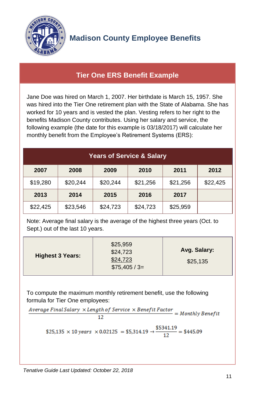

### <span id="page-11-0"></span>**Tier One ERS Benefit Example**

Jane Doe was hired on March 1, 2007. Her birthdate is March 15, 1957. She was hired into the Tier One retirement plan with the State of Alabama. She has worked for 10 years and is vested the plan. Vesting refers to her right to the benefits Madison County contributes. Using her salary and service, the following example (the date for this example is 03/18/2017) will calculate her monthly benefit from the Employee's Retirement Systems (ERS):

| <b>Years of Service &amp; Salary</b> |          |          |          |          |          |
|--------------------------------------|----------|----------|----------|----------|----------|
| 2007                                 | 2008     | 2009     | 2010     | 2011     | 2012     |
| \$19,280                             | \$20,244 | \$20,244 | \$21,256 | \$21,256 | \$22,425 |
| 2013                                 | 2014     | 2015     | 2016     | 2017     |          |
| \$22,425                             | \$23,546 | \$24,723 | \$24,723 | \$25,959 |          |

Note: Average final salary is the average of the highest three years (Oct. to Sept.) out of the last 10 years.

| <b>Highest 3 Years:</b> | \$25,959<br>\$24,723<br>\$24,723<br>$$75,405 / 3=$ | Avg. Salary:<br>\$25,135 |
|-------------------------|----------------------------------------------------|--------------------------|
|-------------------------|----------------------------------------------------|--------------------------|

To compute the maximum monthly retirement benefit, use the following

formula for Tier One employees:<br>Average Final Salary ×Length of Service × Benefit Factor = Monthly Benefit 12

\$25,135 × 10 years × 0.02125 = \$5,314.19 
$$
\rightarrow
$$
  $\frac{$5341.19}{12}$  = \$445.09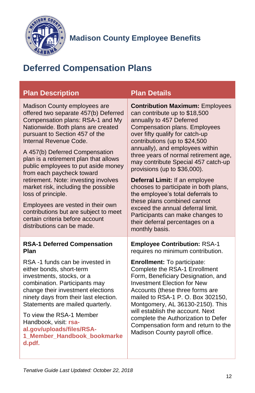

## <span id="page-12-0"></span>**Deferred Compensation Plans**

<span id="page-12-1"></span>

| <b>Plan Description</b>                                                                                                                                                                                                                                                                                                                                                                                                                                                                                                                                                                                       | <b>Plan Details</b>                                                                                                                                                                                                                                                                                                                                                                                                                                                                                                                                                                                                                      |
|---------------------------------------------------------------------------------------------------------------------------------------------------------------------------------------------------------------------------------------------------------------------------------------------------------------------------------------------------------------------------------------------------------------------------------------------------------------------------------------------------------------------------------------------------------------------------------------------------------------|------------------------------------------------------------------------------------------------------------------------------------------------------------------------------------------------------------------------------------------------------------------------------------------------------------------------------------------------------------------------------------------------------------------------------------------------------------------------------------------------------------------------------------------------------------------------------------------------------------------------------------------|
| Madison County employees are<br>offered two separate 457(b) Deferred<br>Compensation plans: RSA-1 and My<br>Nationwide. Both plans are created<br>pursuant to Section 457 of the<br>Internal Revenue Code.<br>A 457(b) Deferred Compensation<br>plan is a retirement plan that allows<br>public employees to put aside money<br>from each paycheck toward<br>retirement. Note: investing involves<br>market risk, including the possible<br>loss of principle.<br>Employees are vested in their own<br>contributions but are subject to meet<br>certain criteria before account<br>distributions can be made. | <b>Contribution Maximum: Employees</b><br>can contribute up to \$18,500<br>annually to 457 Deferred<br>Compensation plans. Employees<br>over fifty qualify for catch-up<br>contributions (up to \$24,500<br>annually), and employees within<br>three years of normal retirement age,<br>may contribute Special 457 catch-up<br>provisions (up to \$36,000).<br>Deferral Limit: If an employee<br>chooses to participate in both plans,<br>the employee's total deferrals to<br>these plans combined cannot<br>exceed the annual deferral limit.<br>Participants can make changes to<br>their deferral percentages on a<br>monthly basis. |
| <b>RSA-1 Deferred Compensation</b><br>Plan                                                                                                                                                                                                                                                                                                                                                                                                                                                                                                                                                                    | <b>Employee Contribution: RSA-1</b><br>requires no minimum contribution.                                                                                                                                                                                                                                                                                                                                                                                                                                                                                                                                                                 |
| RSA-1 funds can be invested in<br>either bonds, short-term<br>investments, stocks, or a<br>combination. Participants may<br>change their investment elections<br>ninety days from their last election.<br>Statements are mailed quarterly.<br>To view the RSA-1 Member<br>Handbook, visit: rsa-<br>al.gov/uploads/files/RSA-<br>1_Member_Handbook_bookmarke<br>d.pdf.                                                                                                                                                                                                                                         | <b>Enrollment:</b> To participate:<br>Complete the RSA-1 Enrollment<br>Form, Beneficiary Designation, and<br><b>Investment Election for New</b><br>Accounts (these three forms are<br>mailed to RSA-1 P. O. Box 302150,<br>Montgomery, AL 36130-2150). This<br>will establish the account. Next<br>complete the Authorization to Defer<br>Compensation form and return to the<br>Madison County payroll office.                                                                                                                                                                                                                          |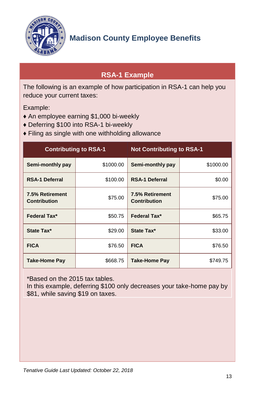

## <span id="page-13-0"></span>**RSA-1 Example**

The following is an example of how participation in RSA-1 can help you reduce your current taxes:

Example:

- ♦ An employee earning \$1,000 bi-weekly
- ♦ Deferring \$100 into RSA-1 bi-weekly
- ♦ Filing as single with one withholding allowance

| <b>Contributing to RSA-1</b>           |           | <b>Not Contributing to RSA-1</b>              |           |
|----------------------------------------|-----------|-----------------------------------------------|-----------|
| Semi-monthly pay                       | \$1000.00 | Semi-monthly pay                              | \$1000.00 |
| <b>RSA-1 Deferral</b>                  | \$100.00  | <b>RSA-1 Deferral</b>                         | \$0.00    |
| 7.5% Retirement<br><b>Contribution</b> | \$75.00   | <b>7.5% Retirement</b><br><b>Contribution</b> | \$75.00   |
| <b>Federal Tax*</b>                    | \$50.75   | <b>Federal Tax*</b>                           | \$65.75   |
| State Tax*                             | \$29.00   | State Tax*                                    | \$33.00   |
| <b>FICA</b>                            | \$76.50   | <b>FICA</b>                                   | \$76.50   |
| Take-Home Pay                          | \$668.75  | <b>Take-Home Pay</b>                          | \$749.75  |

\*Based on the 2015 tax tables.

In this example, deferring \$100 only decreases your take-home pay by \$81, while saving \$19 on taxes.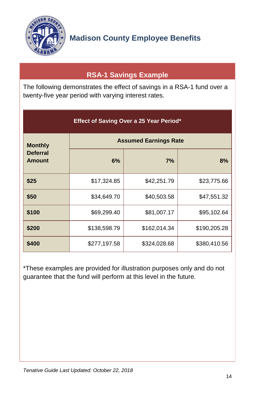

## **RSA-1 Savings Example**

<span id="page-14-0"></span>The following demonstrates the effect of savings in a RSA-1 fund over a twenty-five year period with varying interest rates.

| Effect of Saving Over a 25 Year Period* |                              |              |              |
|-----------------------------------------|------------------------------|--------------|--------------|
| <b>Monthly</b>                          | <b>Assumed Earnings Rate</b> |              |              |
| <b>Deferral</b><br><b>Amount</b>        | 6%                           | 7%           | 8%           |
| \$25                                    | \$17,324.85                  | \$42,251.79  | \$23,775.66  |
| \$50                                    | \$34,649.70                  | \$40,503.58  | \$47,551.32  |
| \$100                                   | \$69,299.40                  | \$81,007.17  | \$95,102.64  |
| \$200                                   | \$138,598.79                 | \$162,014.34 | \$190,205.28 |
| \$400                                   | \$277,197.58                 | \$324,028.68 | \$380,410.56 |

\*These examples are provided for illustration purposes only and do not guarantee that the fund will perform at this level in the future.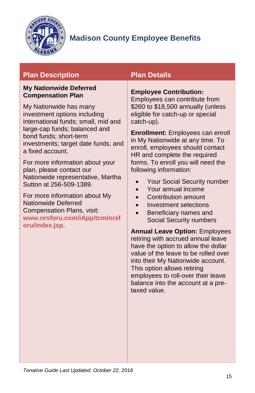

### **Plan Description Plan Details**

#### <span id="page-15-0"></span>**My Nationwide Deferred Compensation Plan**

My Nationwide has many investment options including international funds; small, mid and large-cap funds; balanced and bond funds; short-term investments; target date funds; and a fixed account.

For more information about your plan, please contact our Nationwide representative, Martha Sutton at 256-509-1389.

For more information about My Nationwide Deferred Compensation Plans, visit: **[www.nrsforu.com/iApp/tcm/nrsf](https://www.nrsforu.com/iApp/tcm/nrsforu/index.jsp) [oru/index.jsp.](https://www.nrsforu.com/iApp/tcm/nrsforu/index.jsp)**

#### **Employee Contribution:**

Employees can contribute from \$260 to \$18,500 annually (unless eligible for catch-up or special catch-up).

**Enrollment:** Employees can enroll in My Nationwide at any time. To enroll, employees should contact HR and complete the required forms. To enroll you will need the following information:

- Your Social Security number
- Your annual income
- Contribution amount
- Investment selections
- Beneficiary names and Social Security numbers

**Annual Leave Option:** Employees retiring with accrued annual leave have the option to allow the dollar value of the leave to be rolled over into their My Nationwide account. This option allows retiring employees to roll-over their leave balance into the account at a pretaxed value.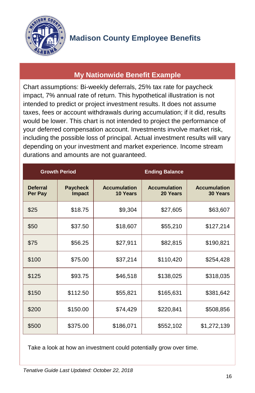

### **My Nationwide Benefit Example**

<span id="page-16-0"></span>Chart assumptions: Bi-weekly deferrals, 25% tax rate for paycheck impact, 7% annual rate of return. This hypothetical illustration is not intended to predict or project investment results. It does not assume taxes, fees or account withdrawals during accumulation; if it did, results would be lower. This chart is not intended to project the performance of your deferred compensation account. Investments involve market risk, including the possible loss of principal. Actual investment results will vary depending on your investment and market experience. Income stream durations and amounts are not guaranteed.

|                            | <b>Growth Period</b>      |                                 | <b>Ending Balance</b>           |                                        |
|----------------------------|---------------------------|---------------------------------|---------------------------------|----------------------------------------|
| <b>Deferral</b><br>Per Pay | <b>Paycheck</b><br>Impact | <b>Accumulation</b><br>10 Years | <b>Accumulation</b><br>20 Years | <b>Accumulation</b><br><b>30 Years</b> |
| \$25                       | \$18.75                   | \$9,304                         | \$27,605                        | \$63,607                               |
| \$50                       | \$37.50                   | \$18,607                        | \$55,210                        | \$127,214                              |
| \$75                       | \$56.25                   | \$27,911                        | \$82,815                        | \$190,821                              |
| \$100                      | \$75.00                   | \$37,214                        | \$110,420                       | \$254,428                              |
| \$125                      | \$93.75                   | \$46,518                        | \$138,025                       | \$318,035                              |
| \$150                      | \$112.50                  | \$55,821                        | \$165,631                       | \$381,642                              |
| \$200                      | \$150.00                  | \$74,429                        | \$220,841                       | \$508,856                              |
| \$500                      | \$375.00                  | \$186,071                       | \$552,102                       | \$1,272,139                            |

Take a look at how an investment could potentially grow over time.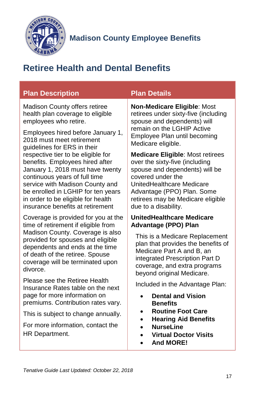

## <span id="page-17-0"></span>**Retiree Health and Dental Benefits**

<span id="page-17-1"></span>

| <b>Plan Description</b>                                                                                                                                                                                                                                                                       | <b>Plan Details</b>                                                                                                                                                                                                                                      |
|-----------------------------------------------------------------------------------------------------------------------------------------------------------------------------------------------------------------------------------------------------------------------------------------------|----------------------------------------------------------------------------------------------------------------------------------------------------------------------------------------------------------------------------------------------------------|
| Madison County offers retiree<br>health plan coverage to eligible<br>employees who retire.                                                                                                                                                                                                    | Non-Medicare Eligible: Most<br>retirees under sixty-five (including<br>spouse and dependents) will                                                                                                                                                       |
| Employees hired before January 1,<br>2018 must meet retirement<br>guidelines for ERS in their                                                                                                                                                                                                 | remain on the LGHIP Active<br>Employee Plan until becoming<br>Medicare eligible.                                                                                                                                                                         |
| respective tier to be eligible for<br>benefits. Employees hired after<br>January 1, 2018 must have twenty<br>continuous years of full time<br>service with Madison County and<br>be enrolled in LGHIP for ten years<br>in order to be eligible for health<br>insurance benefits at retirement | <b>Medicare Eligible: Most retirees</b><br>over the sixty-five (including<br>spouse and dependents) will be<br>covered under the<br>UnitedHealthcare Medicare<br>Advantage (PPO) Plan. Some<br>retirees may be Medicare eligible<br>due to a disability. |
| Coverage is provided for you at the<br>time of retirement if eligible from<br>Madison County. Coverage is also<br>provided for spouses and eligible                                                                                                                                           | <b>UnitedHealthcare Medicare</b><br><b>Advantage (PPO) Plan</b><br>This is a Medicare Replacement                                                                                                                                                        |
| dependents and ends at the time<br>of death of the retiree. Spouse<br>coverage will be terminated upon<br>divorce.                                                                                                                                                                            | plan that provides the benefits of<br>Medicare Part A and B, an<br>integrated Prescription Part D<br>coverage, and extra programs<br>beyond original Medicare.                                                                                           |
| Please see the Retiree Health<br>Insurance Rates table on the next                                                                                                                                                                                                                            | Included in the Advantage Plan:<br><b>Dental and Vision</b>                                                                                                                                                                                              |
| page for more information on<br>premiums. Contribution rates vary.                                                                                                                                                                                                                            | <b>Benefits</b>                                                                                                                                                                                                                                          |
| This is subject to change annually.                                                                                                                                                                                                                                                           | <b>Routine Foot Care</b><br>$\bullet$<br><b>Hearing Aid Benefits</b>                                                                                                                                                                                     |
| For more information, contact the<br>HR Department.                                                                                                                                                                                                                                           | <b>NurseLine</b><br><b>Virtual Doctor Visits</b><br><b>And MORE!</b>                                                                                                                                                                                     |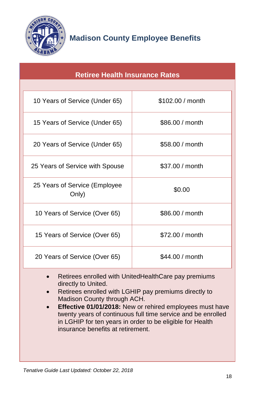

<span id="page-18-0"></span>

| <b>Retiree Health Insurance Rates</b>  |                  |  |
|----------------------------------------|------------------|--|
|                                        |                  |  |
| 10 Years of Service (Under 65)         | \$102.00 / month |  |
| 15 Years of Service (Under 65)         | \$86.00 / month  |  |
| 20 Years of Service (Under 65)         | \$58,00 / month  |  |
| 25 Years of Service with Spouse        | \$37.00 / month  |  |
| 25 Years of Service (Employee<br>Only) | \$0.00           |  |
| 10 Years of Service (Over 65)          | \$86,00 / month  |  |
| 15 Years of Service (Over 65)          | \$72.00 / month  |  |
| 20 Years of Service (Over 65)          | \$44.00 / month  |  |

- Retirees enrolled with UnitedHealthCare pay premiums directly to United.
- Retirees enrolled with LGHIP pay premiums directly to Madison County through ACH.
- **Effective 01/01/2018:** New or rehired employees must have twenty years of continuous full time service and be enrolled in LGHIP for ten years in order to be eligible for Health insurance benefits at retirement.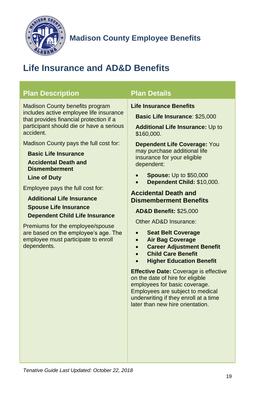

## <span id="page-19-0"></span>**Life Insurance and AD&D Benefits**

<span id="page-19-1"></span>

| <b>Plan Description</b>                                                                                                                                                                                                                                                                                                                                                                                                                                                                                                                                                                                                         | <b>Plan Details</b>                                                                                                                                                                                                                                                                                                                                                                                                                                                                                                                                                                                                                                                                                                                                                                                                                                              |
|---------------------------------------------------------------------------------------------------------------------------------------------------------------------------------------------------------------------------------------------------------------------------------------------------------------------------------------------------------------------------------------------------------------------------------------------------------------------------------------------------------------------------------------------------------------------------------------------------------------------------------|------------------------------------------------------------------------------------------------------------------------------------------------------------------------------------------------------------------------------------------------------------------------------------------------------------------------------------------------------------------------------------------------------------------------------------------------------------------------------------------------------------------------------------------------------------------------------------------------------------------------------------------------------------------------------------------------------------------------------------------------------------------------------------------------------------------------------------------------------------------|
| <b>Madison County benefits program</b><br>includes active employee life insurance<br>that provides financial protection if a<br>participant should die or have a serious<br>accident.<br>Madison County pays the full cost for:<br><b>Basic Life Insurance</b><br><b>Accidental Death and</b><br><b>Dismemberment</b><br><b>Line of Duty</b><br>Employee pays the full cost for:<br><b>Additional Life Insurance</b><br><b>Spouse Life Insurance</b><br><b>Dependent Child Life Insurance</b><br>Premiums for the employee/spouse<br>are based on the employee's age. The<br>employee must participate to enroll<br>dependents. | <b>Life Insurance Benefits</b><br><b>Basic Life Insurance: \$25,000</b><br><b>Additional Life Insurance: Up to</b><br>\$160,000.<br><b>Dependent Life Coverage: You</b><br>may purchase additional life<br>insurance for your eligible<br>dependent:<br><b>Spouse:</b> Up to \$50,000<br>Dependent Child: \$10,000.<br><b>Accidental Death and</b><br><b>Dismemberment Benefits</b><br><b>AD&amp;D Benefit: \$25,000</b><br>Other AD&D Insurance:<br><b>Seat Belt Coverage</b><br><b>Air Bag Coverage</b><br><b>Career Adjustment Benefit</b><br>$\bullet$<br><b>Child Care Benefit</b><br><b>Higher Education Benefit</b><br><b>Effective Date: Coverage is effective</b><br>on the date of hire for eligible<br>employees for basic coverage.<br>Employees are subject to medical<br>underwriting if they enroll at a time<br>later than new hire orientation. |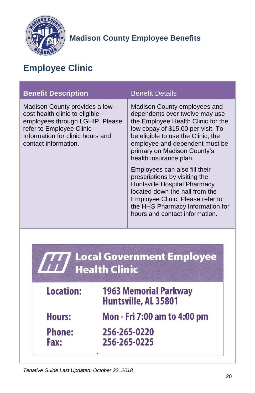

## <span id="page-20-0"></span>**Employee Clinic**

| <b>Benefit Description</b>                                                                                                                                                                  | <b>Benefit Details</b>                                                                                                                                                                                                                                                                                                                                                                                                                                                                                                    |
|---------------------------------------------------------------------------------------------------------------------------------------------------------------------------------------------|---------------------------------------------------------------------------------------------------------------------------------------------------------------------------------------------------------------------------------------------------------------------------------------------------------------------------------------------------------------------------------------------------------------------------------------------------------------------------------------------------------------------------|
| Madison County provides a low-<br>cost health clinic to eligible<br>employees through LGHIP. Please<br>refer to Employee Clinic<br>Information for clinic hours and<br>contact information. | Madison County employees and<br>dependents over twelve may use<br>the Employee Health Clinic for the<br>low copay of \$15.00 per visit. To<br>be eligible to use the Clinic, the<br>employee and dependent must be<br>primary on Madison County's<br>health insurance plan.<br>Employees can also fill their<br>prescriptions by visiting the<br>Huntsville Hospital Pharmacy<br>located down the hall from the<br>Employee Clinic. Please refer to<br>the HHS Pharmacy Information for<br>hours and contact information. |
| <b>Local Government Employee</b><br><b>Health Clinic</b>                                                                                                                                    |                                                                                                                                                                                                                                                                                                                                                                                                                                                                                                                           |

| Location:             | <b>1963 Memorial Parkway</b><br>Huntsville, AL 35801 |
|-----------------------|------------------------------------------------------|
| <b>Hours:</b>         | Mon - Fri 7:00 am to 4:00 pm                         |
| <b>Phone:</b><br>Fax: | 256-265-0220<br>256-265-0225                         |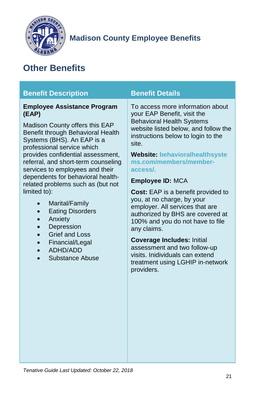

## <span id="page-21-0"></span>**Other Benefits**

<span id="page-21-1"></span>

| <b>Benefit Description</b>                                                                                                                                                                                                                                                                                                                                                                                                                                                                                                                                                             | <b>Benefit Details</b>                                                                                                                                                                                                                                                                                                                                                                                                                                                                                                                                                                                                                                              |
|----------------------------------------------------------------------------------------------------------------------------------------------------------------------------------------------------------------------------------------------------------------------------------------------------------------------------------------------------------------------------------------------------------------------------------------------------------------------------------------------------------------------------------------------------------------------------------------|---------------------------------------------------------------------------------------------------------------------------------------------------------------------------------------------------------------------------------------------------------------------------------------------------------------------------------------------------------------------------------------------------------------------------------------------------------------------------------------------------------------------------------------------------------------------------------------------------------------------------------------------------------------------|
| <b>Employee Assistance Program</b><br>(EAP)<br><b>Madison County offers this EAP</b><br>Benefit through Behavioral Health<br>Systems (BHS). An EAP is a<br>professional service which<br>provides confidential assessment,<br>referral, and short-term counseling<br>services to employees and their<br>dependents for behavioral health-<br>related problems such as (but not<br>limited to):<br>Marital/Family<br>$\bullet$<br><b>Eating Disorders</b><br>Anxiety<br>Depression<br><b>Grief and Loss</b><br>$\bullet$<br>Financial/Legal<br>$\bullet$<br>ADHD/ADD<br>Substance Abuse | To access more information about<br>your EAP Benefit, visit the<br><b>Behavioral Health Systems</b><br>website listed below, and follow the<br>instructions below to login to the<br>site.<br><b>Website: behavioralhealthsyste</b><br>ms.com/members/member-<br>access/.<br><b>Employee ID: MCA</b><br><b>Cost:</b> EAP is a benefit provided to<br>you, at no charge, by your<br>employer. All services that are<br>authorized by BHS are covered at<br>100% and you do not have to file<br>any claims.<br><b>Coverage Includes: Initial</b><br>assessment and two follow-up<br>visits. Inidividuals can extend<br>treatment using LGHIP in-network<br>providers. |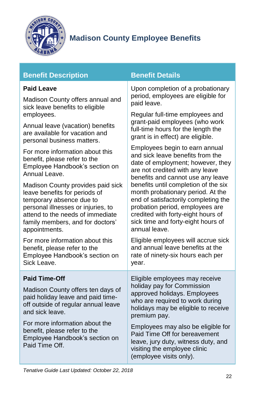

### **Benefit Description Benefit Details**

#### <span id="page-22-0"></span>**Paid Leave**

Madison County offers annual and sick leave benefits to eligible employees.

Annual leave (vacation) benefits are available for vacation and personal business matters.

For more information about this benefit, please refer to the [Employee Handbook's](http://madisoncountyal.gov/home/showdocument?id=4226) section on Annual Leave.

Madison County provides paid sick leave benefits for periods of temporary absence due to personal illnesses or injuries, to attend to the needs of immediate family members, and for doctors' appointments.

For more information about this benefit, please refer to the [Employee Handbook's](http://madisoncountyal.gov/home/showdocument?id=4226) section on Sick Leave.

Upon completion of a probationary period, employees are eligible for paid leave.

Regular full-time employees and grant-paid employees (who work full-time hours for the length the grant is in effect) are eligible.

Employees begin to earn annual and sick leave benefits from the date of employment; however, they are not credited with any leave benefits and cannot use any leave benefits until completion of the six month probationary period. At the end of satisfactorily completing the probation period, employees are credited with forty-eight hours of sick time and forty-eight hours of annual leave.

Eligible employees will accrue sick and annual leave benefits at the rate of ninety-six hours each per year.

<span id="page-22-1"></span>

| SICK Leave.<br>vear.                                                                                                                                                                                                                                                           |                                                                                                                                                                                                                                                                                                                                                                 |
|--------------------------------------------------------------------------------------------------------------------------------------------------------------------------------------------------------------------------------------------------------------------------------|-----------------------------------------------------------------------------------------------------------------------------------------------------------------------------------------------------------------------------------------------------------------------------------------------------------------------------------------------------------------|
| <b>Paid Time-Off</b><br>Madison County offers ten days of<br>paid holiday leave and paid time-<br>off outside of regular annual leave<br>and sick leave.<br>For more information about the<br>benefit, please refer to the<br>Employee Handbook's section on<br>Paid Time Off. | Eligible employees may receive<br>holiday pay for Commission<br>approved holidays. Employees<br>who are required to work during<br>holidays may be eligible to receive<br>premium pay.<br>Employees may also be eligible for<br>Paid Time Off for bereavement<br>leave, jury duty, witness duty, and<br>visiting the employee clinic<br>(emplovee visits onlv). |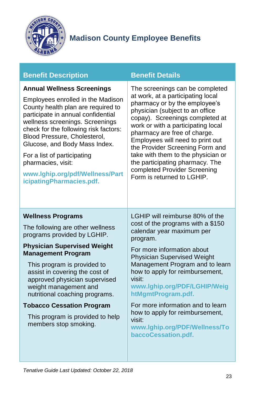

| <b>Benefit Description</b> |
|----------------------------|
|                            |

#### <span id="page-23-0"></span>**Annual Wellness Screenings**

Employees enrolled in the Madison County health plan are required to participate in annual confidential wellness screenings. Screenings check for the following risk factors: Blood Pressure, Cholesterol, Glucose, and Body Mass Index.

For a list of participating pharmacies, visit:

**[www.lghip.org/pdf/Wellness/Part](http://www.lghip.org/pdf/Wellness/ParticipatingPharmacies.pdf) [icipatingPharmacies.pdf.](http://www.lghip.org/pdf/Wellness/ParticipatingPharmacies.pdf)**

#### **Benefit Details**

The screenings can be completed at work, at a participating local pharmacy or by the employee's physician (subject to an office copay). Screenings completed at work or with a participating local pharmacy are free of charge. Employees will need to print out the [Provider Screening Form](http://38.106.4.246/home/showdocument?id=2448) and take with them to the physician or the participating pharmacy. The completed Provider Screening Form is returned to LGHIP.

#### <span id="page-23-1"></span>**Wellness Programs**

The following are other wellness programs provided by LGHIP.

#### **Physician Supervised Weight Management Program**

This program is provided to assist in covering the cost of approved physician supervised weight management and nutritional coaching programs.

#### **Tobacco Cessation Program**

This program is provided to help members stop smoking.

LGHIP will reimburse 80% of the cost of the programs with a \$150 calendar year maximum per program.

For more information about Physician Supervised Weight Management Program and to learn how to apply for reimbursement, visit:

#### **[www.lghip.org/PDF/LGHIP/Weig](http://www.lghip.org/PDF/LGHIP/WeightMgmtProgram.pdf) [htMgmtProgram.pdf.](http://www.lghip.org/PDF/LGHIP/WeightMgmtProgram.pdf)**

For more information and to learn how to apply for reimbursement, visit:

**[www.lghip.org/PDF/Wellness/To](http://www.lghip.org/PDF/Wellness/TobaccoCessation.pdf) [baccoCessation.pdf.](http://www.lghip.org/PDF/Wellness/TobaccoCessation.pdf)**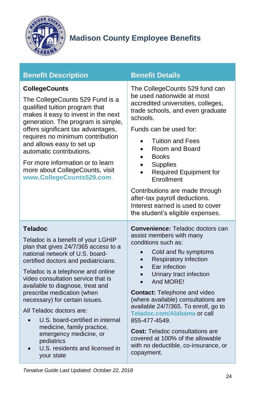

<span id="page-24-2"></span><span id="page-24-1"></span><span id="page-24-0"></span>

| <b>Benefit Description</b>                                                                                                                                                                                                                                                                                                                                                                                                                                                                                                                   | <b>Benefit Details</b>                                                                                                                                                                                                                                                                                                                                                                                                                                                                                                |
|----------------------------------------------------------------------------------------------------------------------------------------------------------------------------------------------------------------------------------------------------------------------------------------------------------------------------------------------------------------------------------------------------------------------------------------------------------------------------------------------------------------------------------------------|-----------------------------------------------------------------------------------------------------------------------------------------------------------------------------------------------------------------------------------------------------------------------------------------------------------------------------------------------------------------------------------------------------------------------------------------------------------------------------------------------------------------------|
| <b>CollegeCounts</b><br>The CollegeCounts 529 Fund is a<br>qualified tuition program that<br>makes it easy to invest in the next<br>generation. The program is simple,<br>offers significant tax advantages,<br>requires no minimum contribution<br>and allows easy to set up<br>automatic contributions.<br>For more information or to learn<br>more about CollegeCounts, visit<br>www.CollegeCounts529.com.                                                                                                                                | The CollegeCounts 529 fund can<br>be used nationwide at most<br>accredited universities, colleges,<br>trade schools, and even graduate<br>schools.<br>Funds can be used for:<br><b>Tuition and Fees</b><br>Room and Board<br><b>Books</b><br>$\bullet$<br><b>Supplies</b><br>Required Equipment for<br>Enrollment<br>Contributions are made through                                                                                                                                                                   |
|                                                                                                                                                                                                                                                                                                                                                                                                                                                                                                                                              | after-tax payroll deductions.<br>Interest earned is used to cover<br>the student's eligible expenses.                                                                                                                                                                                                                                                                                                                                                                                                                 |
| <b>Teladoc</b><br>Teladoc is a benefit of your LGHIP<br>plan that gives 24/7/365 access to a<br>national network of U.S. board-<br>certified doctors and pediatricians.<br>Teladoc is a telephone and online<br>video consultation service that is<br>available to diagnose, treat and<br>prescribe medication (when<br>necessary) for certain issues.<br>All Teladoc doctors are:<br>U.S. board-certified in internal<br>medicine, family practice,<br>emergency medicine, or<br>pediatrics<br>U.S. residents and licensed in<br>your state | Convenience: Teladoc doctors can<br>assist members with many<br>conditions such as:<br>Cold and flu symptoms<br>Respiratory infection<br>Ear infection<br>Urinary tract infection<br>And MORE!<br>$\bullet$<br><b>Contact: Telephone and video</b><br>(where available) consultations are<br>available 24/7/365. To enroll, go to<br>Teladoc.com/Alabama or call<br>855-477-4549.<br><b>Cost: Teladoc consultations are</b><br>covered at 100% of the allowable<br>with no deductible, co-insurance, or<br>copayment. |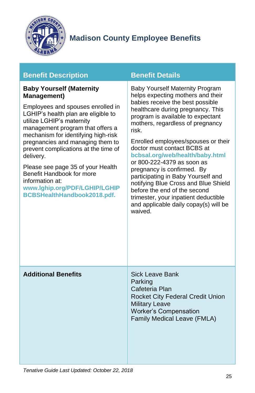

|  | <b>Benefit Description</b> |  |
|--|----------------------------|--|
|  |                            |  |

#### <span id="page-25-0"></span>**Baby Yourself (Maternity Management)**

Employees and spouses enrolled in LGHIP's health plan are eligible to utilize LGHIP's maternity management program that offers a mechanism for identifying high-risk pregnancies and managing them to prevent complications at the time of delivery.

Please see page 35 of your Health Benefit Handbook for more information at:

**[www.lghip.org/PDF/LGHIP/LGHIP](http://www.lghip.org/PDF/LGHIP/LGHIPBCBSHealthHandbook2018.pdf) [BCBSHealthHandbook2018.pdf.](http://www.lghip.org/PDF/LGHIP/LGHIPBCBSHealthHandbook2018.pdf)**

#### **Benefit Details**

Baby Yourself Maternity Program helps expecting mothers and their babies receive the best possible healthcare during pregnancy. This program is available to expectant mothers, regardless of pregnancy risk. Enrolled employees/spouses or their doctor must contact BCBS at **[bcbsal.org/web/health/baby.html](https://www.bcbsal.org/web/health/baby.html)** or 800-222-4379 as soon as pregnancy is confirmed. By participating in Baby Yourself and notifying Blue Cross and Blue Shield before the end of the second trimester, your inpatient deductible and applicable daily copay(s) will be waived.

#### <span id="page-25-1"></span>**Additional Benefits** Sick Leave Bank

Parking Cafeteria Plan Rocket City Federal Credit Union Military Leave Worker's Compensation Family Medical Leave (FMLA)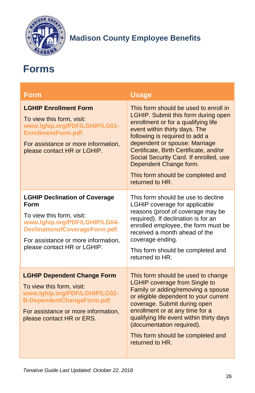

## <span id="page-26-0"></span>**Forms**

<span id="page-26-3"></span><span id="page-26-2"></span><span id="page-26-1"></span>

| <b>Form</b>                                                                                                                                                                                                               | <b>Usage</b>                                                                                                                                                                                                                                                                                                                                                                                  |
|---------------------------------------------------------------------------------------------------------------------------------------------------------------------------------------------------------------------------|-----------------------------------------------------------------------------------------------------------------------------------------------------------------------------------------------------------------------------------------------------------------------------------------------------------------------------------------------------------------------------------------------|
| <b>LGHIP Enrollment Form</b><br>To view this form, visit:<br>www.lghip.org/PDF/LGHIP/LG01-<br>EnrollmentForm.pdf.<br>For assistance or more information,<br>please contact HR or LGHIP.                                   | This form should be used to enroll in<br>LGHIP. Submit this form during open<br>enrollment or for a qualifying life<br>event within thirty days. The<br>following is required to add a<br>dependent or spouse: Marriage<br>Certificate, Birth Certificate, and/or<br>Social Security Card. If enrolled, use<br>Dependent Change form.<br>This form should be completed and<br>returned to HR. |
| <b>LGHIP Declination of Coverage</b><br><b>Form</b><br>To view this form, visit:<br>www.lghip.org/PDF/LGHIP/LG04-<br>DeclinationofCoverageForm.pdf.<br>For assistance or more information,<br>please contact HR or LGHIP. | This form should be use to decline<br>LGHIP coverage for applicable<br>reasons (proof of coverage may be<br>required). If declination is for an<br>enrolled employee, the form must be<br>received a month ahead of the<br>coverage ending.<br>This form should be completed and<br>returned to HR.                                                                                           |
| <b>LGHIP Dependent Change Form</b><br>To view this form, visit:<br>www.lghip.org/PDF/LGHIP/LG02-<br>B-DependentChangeForm.pdf.<br>For assistance or more information,<br>please contact HR or ERS.                        | This form should be used to change<br><b>LGHIP coverage from Single to</b><br>Family or adding/removing a spouse<br>or eligible dependent to your current<br>coverage. Submit during open<br>enrollment or at any time for a<br>qualifying life event within thirty days<br>(documentation required).<br>This form should be completed and<br>returned to HR.                                 |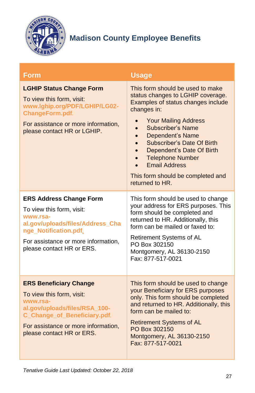

<span id="page-27-2"></span><span id="page-27-1"></span><span id="page-27-0"></span>

| <b>Form</b>                                                                                                                                                                                                 | <b>Usage</b>                                                                                                                                                                                                                                                                                                                                                                                 |
|-------------------------------------------------------------------------------------------------------------------------------------------------------------------------------------------------------------|----------------------------------------------------------------------------------------------------------------------------------------------------------------------------------------------------------------------------------------------------------------------------------------------------------------------------------------------------------------------------------------------|
| <b>LGHIP Status Change Form</b><br>To view this form, visit:<br>www.lghip.org/PDF/LGHIP/LG02-<br>ChangeForm.pdf.<br>For assistance or more information,<br>please contact HR or LGHIP.                      | This form should be used to make<br>status changes to LGHIP coverage.<br>Examples of status changes include<br>changes in:<br><b>Your Mailing Address</b><br>Subscriber's Name<br><b>Dependent's Name</b><br>Subscriber's Date Of Birth<br>Dependent's Date Of Birth<br><b>Telephone Number</b><br><b>Email Address</b><br>$\bullet$<br>This form should be completed and<br>returned to HR. |
| <b>ERS Address Change Form</b><br>To view this form, visit:<br>www.rsa-<br>al.gov/uploads/files/Address_Cha<br>nge_Notification.pdf.<br>For assistance or more information,<br>please contact HR or ERS.    | This form should be used to change<br>your address for ERS purposes. This<br>form should be completed and<br>returned to HR. Additionally, this<br>form can be mailed or faxed to:<br>Retirement Systems of AL<br>PO Box 302150<br>Montgomery, AL 36130-2150<br>Fax: 877-517-0021                                                                                                            |
| <b>ERS Beneficiary Change</b><br>To view this form, visit:<br>www.rsa-<br>al.gov/uploads/files/RSA_100-<br>C_Change_of_Beneficiary.pdf.<br>For assistance or more information,<br>please contact HR or ERS. | This form should be used to change<br>your Beneficiary for ERS purposes<br>only. This form should be completed<br>and returned to HR. Additionally, this<br>form can be mailed to:<br><b>Retirement Systems of AL</b><br>PO Box 302150<br>Montgomery, AL 36130-2150<br>Fax: 877-517-0021                                                                                                     |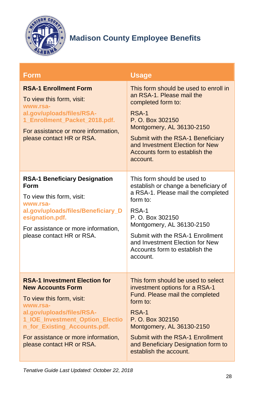

<span id="page-28-2"></span><span id="page-28-1"></span><span id="page-28-0"></span>

| <b>Form</b>                                                                                                                                                                                                                                                                   | <b>Usage</b>                                                                                                                                                                                                                                                                                         |
|-------------------------------------------------------------------------------------------------------------------------------------------------------------------------------------------------------------------------------------------------------------------------------|------------------------------------------------------------------------------------------------------------------------------------------------------------------------------------------------------------------------------------------------------------------------------------------------------|
| <b>RSA-1 Enrollment Form</b><br>To view this form, visit:<br>www.rsa-<br>al.gov/uploads/files/RSA-<br>1_Enrollment_Packet_2018.pdf.<br>For assistance or more information,<br>please contact HR or RSA.                                                                       | This form should be used to enroll in<br>an RSA-1. Please mail the<br>completed form to:<br>RSA-1<br>P. O. Box 302150<br>Montgomery, AL 36130-2150<br>Submit with the RSA-1 Beneficiary<br>and Investment Election for New<br>Accounts form to establish the<br>account.                             |
| <b>RSA-1 Beneficiary Designation</b><br>Form<br>To view this form, visit:<br>www.rsa-<br>al.gov/uploads/files/Beneficiary_D<br>esignation.pdf.<br>For assistance or more information,<br>please contact HR or RSA.                                                            | This form should be used to<br>establish or change a beneficiary of<br>a RSA-1. Please mail the completed<br>form to:<br>RSA-1<br>P. O. Box 302150<br>Montgomery, AL 36130-2150<br>Submit with the RSA-1 Enrollment<br>and Investment Election for New<br>Accounts form to establish the<br>account. |
| <b>RSA-1 Investment Election for</b><br><b>New Accounts Form</b><br>To view this form, visit:<br>www.rsa-<br>al.gov/uploads/files/RSA-<br>1_IOE_Investment_Option_Electio<br>n_for_Existing_Accounts.pdf.<br>For assistance or more information,<br>please contact HR or RSA. | This form should be used to select<br>investment options for a RSA-1<br>Fund. Please mail the completed<br>form to:<br>RSA-1<br>P. O. Box 302150<br>Montgomery, AL 36130-2150<br>Submit with the RSA-1 Enrollment<br>and Beneficiary Designation form to<br>establish the account.                   |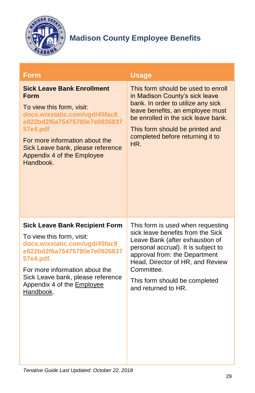

<span id="page-29-1"></span><span id="page-29-0"></span>

| <b>Form</b>                                                                                                                                                                                                                                                               | <b>Usage</b>                                                                                                                                                                                                                                                                                |
|---------------------------------------------------------------------------------------------------------------------------------------------------------------------------------------------------------------------------------------------------------------------------|---------------------------------------------------------------------------------------------------------------------------------------------------------------------------------------------------------------------------------------------------------------------------------------------|
| <b>Sick Leave Bank Enrollment</b><br>Form<br>To view this form, visit:<br>docs.wixstatic.com/ugd/45fac8<br>e822bd2f6a75475780e7e0926837<br>57e4.pdf.<br>For more information about the<br>Sick Leave bank, please reference<br>Appendix 4 of the Employee<br>Handbook.    | This form should be used to enroll<br>in Madison County's sick leave<br>bank. In order to utilize any sick<br>leave benefits, an employee must<br>be enrolled in the sick leave bank.<br>This form should be printed and<br>completed before returning it to<br>HR.                         |
| <b>Sick Leave Bank Recipient Form</b><br>To view this form, visit:<br>docs.wixstatic.com/ugd/45fac8<br>e822bd2f6a75475780e7e0926837<br>57e4.pdf.<br>For more information about the<br>Sick Leave bank, please reference<br>Appendix 4 of the <b>Employee</b><br>Handbook. | This form is used when requesting<br>sick leave benefits from the Sick<br>Leave Bank (after exhaustion of<br>personal accrual). It is subject to<br>approval from: the Department<br>Head, Director of HR, and Review<br>Committee.<br>This form should be completed<br>and returned to HR. |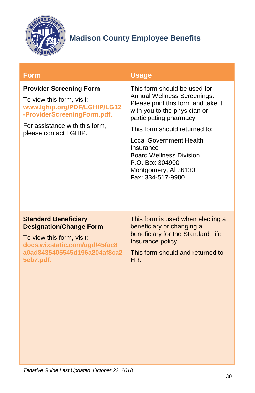

<span id="page-30-1"></span><span id="page-30-0"></span>

| <b>Form</b>                                                                                                                                                                           | <b>Usage</b>                                                                                                                                                                                                                                                                                                                                   |
|---------------------------------------------------------------------------------------------------------------------------------------------------------------------------------------|------------------------------------------------------------------------------------------------------------------------------------------------------------------------------------------------------------------------------------------------------------------------------------------------------------------------------------------------|
| <b>Provider Screening Form</b><br>To view this form, visit:<br>www.lghip.org/PDF/LGHIP/LG12<br>-ProviderScreeningForm.pdf.<br>For assistance with this form,<br>please contact LGHIP. | This form should be used for<br>Annual Wellness Screenings.<br>Please print this form and take it<br>with you to the physician or<br>participating pharmacy.<br>This form should returned to:<br><b>Local Government Health</b><br>Insurance<br><b>Board Wellness Division</b><br>P.O. Box 304900<br>Montgomery, AI 36130<br>Fax: 334-517-9980 |
| <b>Standard Beneficiary</b><br><b>Designation/Change Form</b><br>To view this form, visit:<br>docs.wixstatic.com/ugd/45fac8<br>a0ad8435405545d196a204af8ca2<br>5eb7.pdf.              | This form is used when electing a<br>beneficiary or changing a<br>beneficiary for the Standard Life<br>Insurance policy.<br>This form should and returned to<br>HR.                                                                                                                                                                            |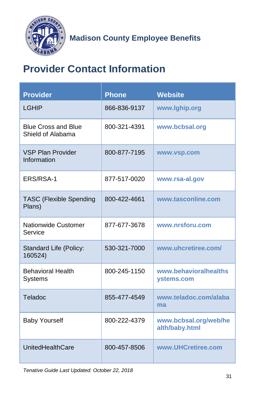

## <span id="page-31-0"></span>**Provider Contact Information**

| <b>Provider</b>                                 | <b>Phone</b> | <b>Website</b>                          |
|-------------------------------------------------|--------------|-----------------------------------------|
| <b>LGHIP</b>                                    | 866-836-9137 | www.lghip.org                           |
| <b>Blue Cross and Blue</b><br>Shield of Alabama | 800-321-4391 | www.bcbsal.org                          |
| <b>VSP Plan Provider</b><br>Information         | 800-877-7195 | www.vsp.com                             |
| ERS/RSA-1                                       | 877-517-0020 | www.rsa-al.gov                          |
| <b>TASC (Flexible Spending</b><br>Plans)        | 800-422-4661 | www.tasconline.com                      |
| <b>Nationwide Customer</b><br>Service           | 877-677-3678 | www.nrsforu.com                         |
| Standard Life (Policy:<br>160524)               | 530-321-7000 | www.uhcretiree.com/                     |
| <b>Behavioral Health</b><br><b>Systems</b>      | 800-245-1150 | www.behavioralhealths<br>ystems.com     |
| Teladoc                                         | 855-477-4549 | www.teladoc.com/alaba<br>ma             |
| <b>Baby Yourself</b>                            | 800-222-4379 | www.bcbsal.org/web/he<br>alth/baby.html |
| UnitedHealthCare                                | 800-457-8506 | www.UHCretiree.com                      |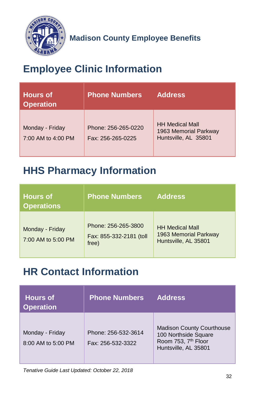

## <span id="page-32-0"></span>**Employee Clinic Information**

| <b>Hours of</b><br><b>Operation</b>   | <b>Phone Numbers</b>                     | <b>Address</b>                                                          |
|---------------------------------------|------------------------------------------|-------------------------------------------------------------------------|
| Monday - Friday<br>7:00 AM to 4:00 PM | Phone: 256-265-0220<br>Fax: 256-265-0225 | <b>HH Medical Mall</b><br>1963 Memorial Parkway<br>Huntsville, AL 35801 |

## <span id="page-32-1"></span>**HHS Pharmacy Information**

| <b>Hours of</b><br><b>Operations</b>  | <b>Phone Numbers</b>                                    | <b>Address</b>                                                          |
|---------------------------------------|---------------------------------------------------------|-------------------------------------------------------------------------|
| Monday - Friday<br>7:00 AM to 5:00 PM | Phone: 256-265-3800<br>Fax: 855-332-2181 (toll<br>free) | <b>HH Medical Mall</b><br>1963 Memorial Parkway<br>Huntsville, AL 35801 |

## <span id="page-32-2"></span>**HR Contact Information**

| <b>Hours of</b><br><b>Operation</b>   | <b>Phone Numbers</b>                     | <b>Address</b>                                                                                                      |
|---------------------------------------|------------------------------------------|---------------------------------------------------------------------------------------------------------------------|
| Monday - Friday<br>8:00 AM to 5:00 PM | Phone: 256-532-3614<br>Fax: 256-532-3322 | <b>Madison County Courthouse</b><br>100 Northside Square<br>Room 753, 7 <sup>th</sup> Floor<br>Huntsville, AL 35801 |